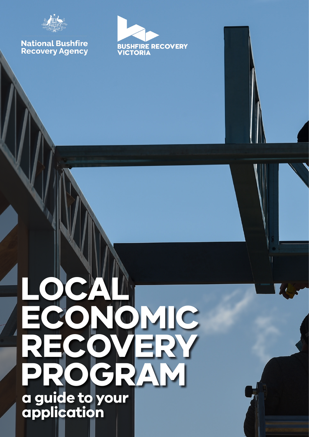

## **National Bushfire<br>Recovery Agency**



# **LOCAL ECONOMIC RECOVERY PROGRAM a guide to your application**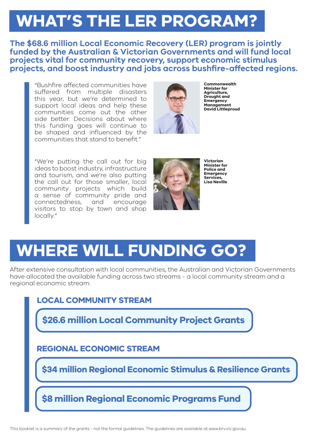### **WHAT'S THE LER PROGRAM?**

**The \$68.6 million Local Economic Recovery (LER) program is jointly funded by the Australian & Victorian Governments and will fund local projects vital for community recovery, support economic stimulus projects, and boost industry and jobs across bushfire-affected regions.**

"Bushfire affected communities have suffered from multiple disasters this year, but we're determined to support local ideas and help these communities come out the other side better. Decisions about where this funding goes will continue to be shaped and influenced by the communities that stand to benefit."



**Commonwealth Minister for Agriculture, Drought and Emergency Management David Littleproud** 

"We're putting the call out for big ideas to boost industry, infrastructure and tourism, and we're also putting the call out for those smaller, local community projects which build a sense of community pride and connectedness, and encourage visitors to stop by town and shop locally."



**Victorian Minister for Police and Emergency Services, Lisa Neville**

### **WHERE WILL FUNDING GO?**

After extensive consultation with local communities, the Australian and Victorian Governments have allocated the available funding across two streams - a local community stream and a regional economic stream:

### **LOCAL COMMUNITY STREAM**

**\$26.6 million Local Community Project Grants** 

**REGIONAL ECONOMIC STREAM**

**\$34 million Regional Economic Stimulus & Resilience Grants**

**\$8 million Regional Economic Programs Fund**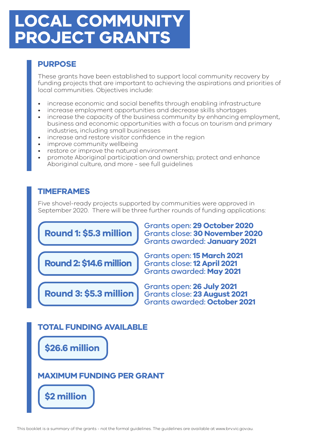### **LOCAL COMMUNITY PROJECT GRANTS**

### **PURPOSE**

These grants have been established to support local community recovery by funding projects that are important to achieving the aspirations and priorities of local communities. Objectives include:

- increase economic and social benefits through enabling infrastructure
- increase employment opportunities and decrease skills shortages
- increase the capacity of the business community by enhancing employment, business and economic opportunities with a focus on tourism and primary industries, including small businesses
- increase and restore visitor confidence in the region
- improve community wellbeing
- restore or improve the natural environment
- promote Aboriginal participation and ownership; protect and enhance Aboriginal culture, and more - see full quidelines

#### **TIMEFRAMES**

Five shovel-ready projects supported by communities were approved in September 2020. There will be three further rounds of funding applications:



### **MAXIMUM FUNDING PER GRANT**

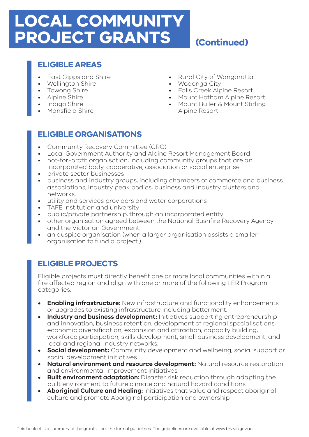### **LOCAL COMMUNITY PROJECT GRANTS**

### **(Continued)**

#### **ELIGIBLE AREAS**

- East Gippsland Shire
- Wellington Shire
- Towong Shire
- Alpine Shire
- Indigo Shire
- Mansfield Shire
- Rural City of Wangaratta
- Wodonga City
- Falls Creek Alpine Resort
- Mount Hotham Alpine Resort
- Mount Buller & Mount Stirling Alpine Resort

### **ELIGIBLE ORGANISATIONS**

- Community Recovery Committee (CRC)
- Local Government Authority and Alpine Resort Management Board
- not-for-profit organisation, including community groups that are an incorporated body, cooperative, association or social enterprise
- private sector businesses
- business and industry groups, including chambers of commerce and business associations, industry peak bodies, business and industry clusters and networks.
- utility and services providers and water corporations
- TAFE institution and university
- public/private partnership, through an incorporated entity
- other organisation agreed between the National Bushfire Recovery Agency and the Victorian Government.
- an auspice organisation (when a larger organisation assists a smaller organisation to fund a project.)

### **ELIGIBLE PROJECTS**

Eligible projects must directly benefit one or more local communities within a fire affected region and align with one or more of the following LER Program categories:

- **• Enabling infrastructure:** New infrastructure and functionality enhancements or upgrades to existing infrastructure including betterment.
- **• Industry and business development:** Initiatives supporting entrepreneurship and innovation, business retention, development of regional specialisations, economic diversification, expansion and attraction, capacity building, workforce participation, skills development, small business development, and local and regional industry networks.
- **• Social development:** Community development and wellbeing, social support or social development initiatives.
- **• Natural environment and resource development:** Natural resource restoration and environmental improvement initiatives.
- **• Built environment adaptation:** Disaster risk reduction through adapting the built environment to future climate and natural hazard conditions.
- **• Aboriginal Culture and Healing:** Initiatives that value and respect aboriginal culture and promote Aboriginal participation and ownership.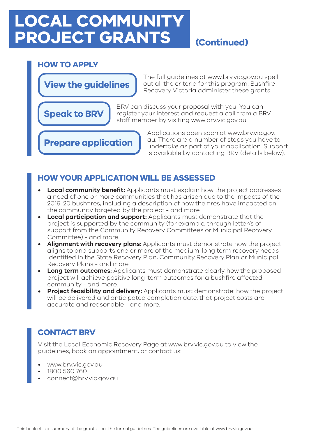### **LOCAL COMMUNITY PROJECT GRANTS (Continued)**

#### **HOW TO APPLY**

**Speak to BRV**

**View the guidelines**

The full guidelines at www.brv.vic.gov.au spell out all the criteria for this program. Bushfire Recovery Victoria administer these grants.

BRV can discuss your proposal with you. You can register your interest and request a call from a BRV staff member by visiting www.brv.vic.gov.au.

**Prepare application**

Applications open soon at www.brv.vic.gov. au. There are a number of steps you have to undertake as part of your application. Support is available by contacting BRV (details below).

#### **HOW YOUR APPLICATION WILL BE ASSESSED**

- **• Local community benefit:** Applicants must explain how the project addresses a need of one or more communities that has arisen due to the impacts of the 2019-20 bushfires, including a description of how the fires have impacted on the community targeted by the project - and more.
- **• Local participation and support:** Applicants must demonstrate that the project is supported by the community (for example, through letter/s of support from the Community Recovery Committees or Municipal Recovery Committee) - and more.
- **• Alignment with recovery plans:** Applicants must demonstrate how the project aligns to and supports one or more of the medium-long term recovery needs identified in the State Recovery Plan, Community Recovery Plan or Municipal Recovery Plans - and more
- **• Long term outcomes:** Applicants must demonstrate clearly how the proposed project will achieve positive long-term outcomes for a bushfire affected community - and more.
- **• Project feasibility and delivery:** Applicants must demonstrate: how the project will be delivered and anticipated completion date, that project costs are accurate and reasonable - and more.

### **CONTACT BRV**

Visit the Local Economic Recovery Page at www.brv.vic.gov.au to view the guidelines, book an appointment, or contact us:

- www.brv.vic.gov.au
- 1800 560 760
- connect@brv.vic.gov.au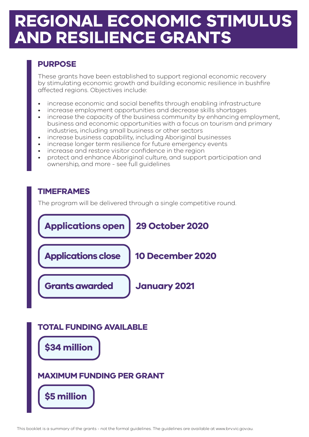### **REGIONAL ECONOMIC STIMULUS AND RESILIENCE GRANTS**

### **PURPOSE**

These grants have been established to support regional economic recovery by stimulating economic growth and building economic resilience in bushfire affected regions. Objectives include:

- increase economic and social benefits through enabling infrastructure
- increase employment opportunities and decrease skills shortages
- increase the capacity of the business community by enhancing employment, business and economic opportunities with a focus on tourism and primary industries, including small business or other sectors
- increase business capability, including Aboriginal businesses
- increase longer term resilience for future emergency events
- increase and restore visitor confidence in the region
- protect and enhance Aboriginal culture, and support participation and ownership, and more - see full guidelines

### **TIMEFRAMES**

The program will be delivered through a single competitive round.



**\$34 million**

### **MAXIMUM FUNDING PER GRANT**

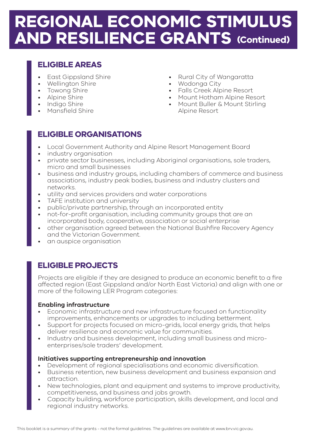### **REGIONAL ECONOMIC STIMULUS AND RESILIENCE GRANTS (Continued)**

#### **ELIGIBLE AREAS**

- East Gippsland Shire
- Wellington Shire
- Towong Shire
- Alpine Shire
- Indigo Shire
- Mansfield Shire
- Rural City of Wangaratta
- Wodonga City
- Falls Creek Alpine Resort
- Mount Hotham Alpine Resort
- Mount Buller & Mount Stirling Alpine Resort

### **ELIGIBLE ORGANISATIONS**

- Local Government Authority and Alpine Resort Management Board
- industry organisation
- private sector businesses, including Aboriginal organisations, sole traders, micro and small businesses
- business and industry groups, including chambers of commerce and business associations, industry peak bodies, business and industry clusters and networks.
- utility and services providers and water corporations
- TAFE institution and university
- public/private partnership, through an incorporated entity
- not-for-profit organisation, including community groups that are an incorporated body, cooperative, association or social enterprise
- other organisation agreed between the National Bushfire Recovery Agency and the Victorian Government.
- an auspice organisation

### **ELIGIBLE PROJECTS**

Projects are eligible if they are designed to produce an economic benefit to a fire affected region (East Gippsland and/or North East Victoria) and align with one or more of the following LER Program categories:

#### **Enabling infrastructure**

- Economic infrastructure and new infrastructure focused on functionality improvements, enhancements or upgrades to including betterment.
- Support for projects focused on micro-grids, local energy grids, that helps deliver resilience and economic value for communities.
- Industry and business development, including small business and microenterprises/sole traders' development.

#### **Initiatives supporting entrepreneurship and innovation**

- Development of regional specialisations and economic diversification.
- Business retention, new business development and business expansion and attraction.
- New technologies, plant and equipment and systems to improve productivity, competitiveness, and business and jobs growth.
- Capacity building, workforce participation, skills development, and local and regional industry networks.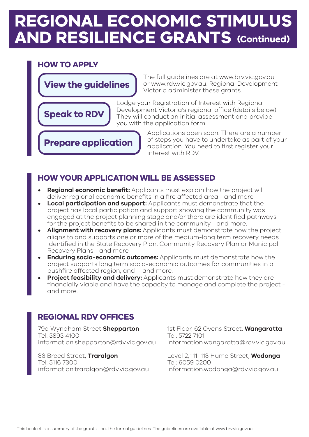### **REGIONAL ECONOMIC STIMULUS PROJECT GRANTS (Continued) AND RESILIENCE GRANTS (Continued)**

#### **HOW TO APPLY**

**Speak to RDV**

**View the guidelines**

The full guidelines are at www.brv.vic.gov.au or www.rdv.vic.gov.au. Regional Development Victoria administer these grants.

Lodge your Registration of Interest with Regional Development Victoria's regional office (details below). They will conduct an initial assessment and provide you with the application form.

**Prepare application**

Applications open soon. There are a number of steps you have to undertake as part of your application. You need to first register your interest with RDV.

#### **HOW YOUR APPLICATION WILL BE ASSESSED**

- **• Regional economic benefit:** Applicants must explain how the project will deliver regional economic benefits in a fire affected area - and more.
- **• Local participation and support:** Applicants must demonstrate that the project has local participation and support showing the community was engaged at the project planning stage and/or there are identified pathways for the project benefits to be shared in the community - and more.
- **• Alignment with recovery plans:** Applicants must demonstrate how the project aligns to and supports one or more of the medium-long term recovery needs identified in the State Recovery Plan, Community Recovery Plan or Municipal Recovery Plans - and more
- **• Enduring socio-economic outcomes:** Applicants must demonstrate how the project supports long term socio-economic outcomes for communities in a bushfire affected region; and - and more.
- **Project feasibility and delivery:** Applicants must demonstrate how they are financially viable and have the capacity to manage and complete the project and more.

### **REGIONAL RDV OFFICES**

79a Wyndham Street **Shepparton**  Tel: 5895 4100 information.shepparton@rdv.vic.gov.au

33 Breed Street, **Traralgon**  Tel: 5116 7300 information.traralgon@rdv.vic.gov.au 1st Floor, 62 Ovens Street, **Wangaratta**  Tel: 5722 7101 information.wangaratta@rdv.vic.gov.au

Level 2, 111–113 Hume Street, **Wodonga**  Tel: 6059 0200 information.wodonga@rdv.vic.gov.au